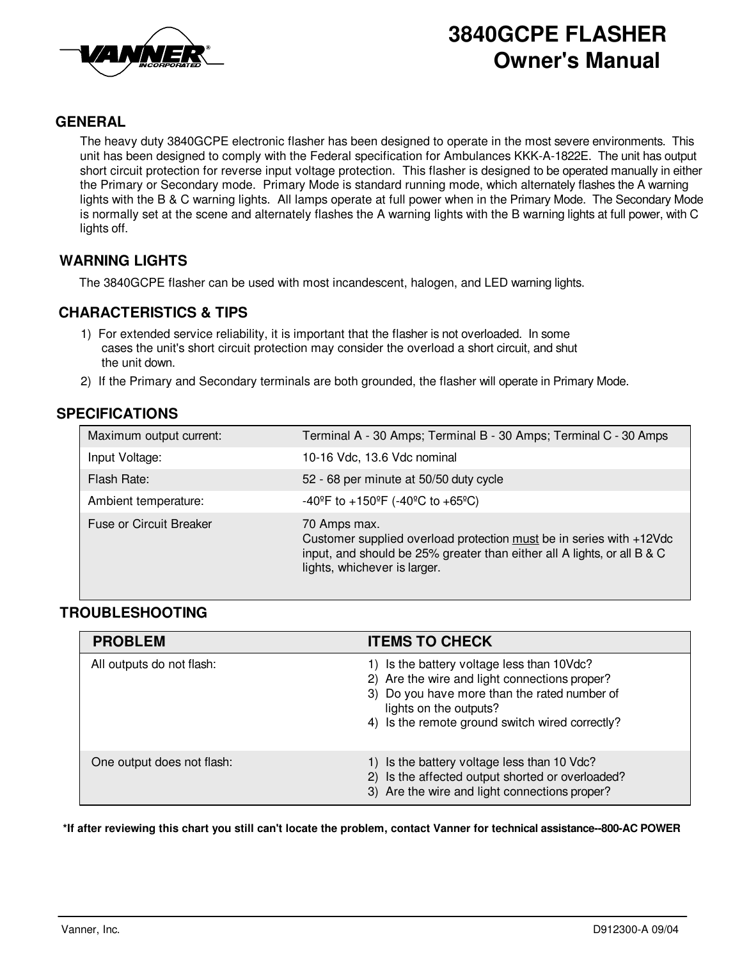

# **3840GCPE FLASHER Owner's Manual**

## **GENERAL**

The heavy duty 3840GCPE electronic flasher has been designed to operate in the most severe environments. This unit has been designed to comply with the Federal specification for Ambulances KKK-A-1822E. The unit has output short circuit protection for reverse input voltage protection. This flasher is designed to be operated manually in either the Primary or Secondary mode. Primary Mode is standard running mode, which alternately flashes the A warning lights with the B & C warning lights. All lamps operate at full power when in the Primary Mode. The Secondary Mode is normally set at the scene and alternately flashes the A warning lights with the B warning lights at full power, with C lights off.

### **WARNING LIGHTS**

The 3840GCPE flasher can be used with most incandescent, halogen, and LED warning lights.

# **CHARACTERISTICS & TIPS**

- 1) For extended service reliability, it is important that the flasher is not overloaded. In some cases the unit's short circuit protection may consider the overload a short circuit, and shut the unit down.
- 2) If the Primary and Secondary terminals are both grounded, the flasher will operate in Primary Mode.

# **SPECIFICATIONS**

| Maximum output current: | Terminal A - 30 Amps; Terminal B - 30 Amps; Terminal C - 30 Amps                                                                                                                               |
|-------------------------|------------------------------------------------------------------------------------------------------------------------------------------------------------------------------------------------|
| Input Voltage:          | 10-16 Vdc, 13.6 Vdc nominal                                                                                                                                                                    |
| Flash Rate:             | 52 - 68 per minute at 50/50 duty cycle                                                                                                                                                         |
| Ambient temperature:    | $-40^{\circ}$ F to $+150^{\circ}$ F ( $-40^{\circ}$ C to $+65^{\circ}$ C)                                                                                                                      |
| Fuse or Circuit Breaker | 70 Amps max.<br>Customer supplied overload protection must be in series with +12Vdc<br>input, and should be 25% greater than either all A lights, or all B & C<br>lights, whichever is larger. |

#### **TROUBLESHOOTING**

| <b>PROBLEM</b>             | <b>ITEMS TO CHECK</b>                                                                                                                                                                                                    |
|----------------------------|--------------------------------------------------------------------------------------------------------------------------------------------------------------------------------------------------------------------------|
| All outputs do not flash:  | 1) Is the battery voltage less than 10Vdc?<br>2) Are the wire and light connections proper?<br>3) Do you have more than the rated number of<br>lights on the outputs?<br>4) Is the remote ground switch wired correctly? |
| One output does not flash: | 1) Is the battery voltage less than 10 Vdc?<br>2) Is the affected output shorted or overloaded?<br>3) Are the wire and light connections proper?                                                                         |

\*If after reviewing this chart you still can't locate the problem, contact Vanner for technical assistance--800-AC POWER